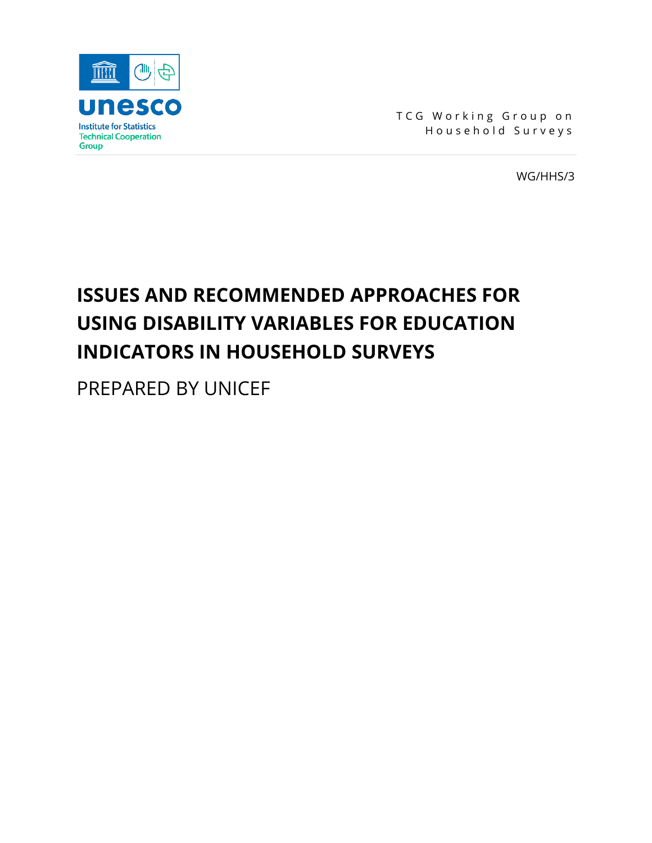

TCG Working Group on Househo ld Survey s

WG/HHS/3

# **ISSUES AND RECOMMENDED APPROACHES FOR USING DISABILITY VARIABLES FOR EDUCATION INDICATORS IN HOUSEHOLD SURVEYS**

PREPARED BY UNICEF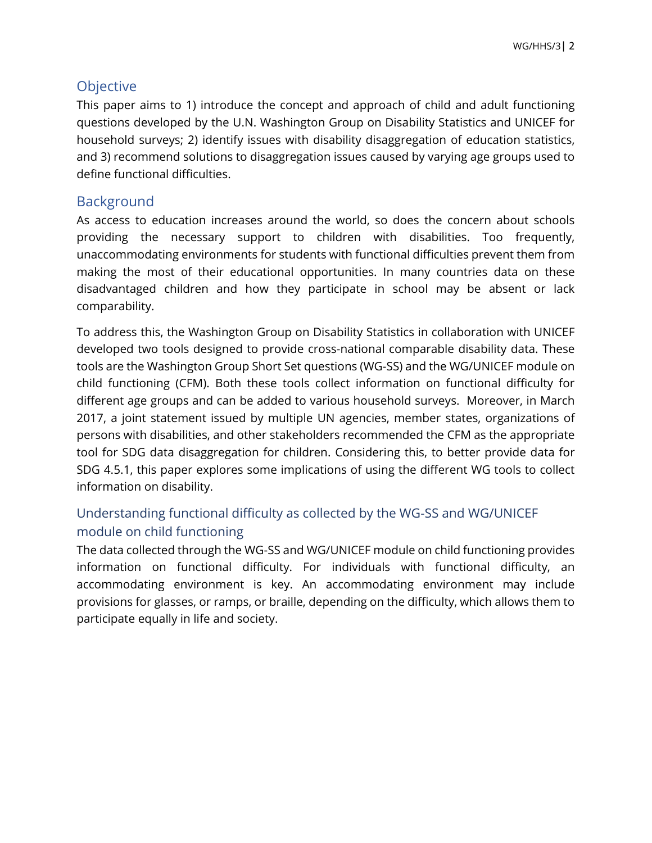# **Objective**

This paper aims to 1) introduce the concept and approach of child and adult functioning questions developed by the U.N. Washington Group on Disability Statistics and UNICEF for household surveys; 2) identify issues with disability disaggregation of education statistics, and 3) recommend solutions to disaggregation issues caused by varying age groups used to define functional difficulties.

# Background

As access to education increases around the world, so does the concern about schools providing the necessary support to children with disabilities. Too frequently, unaccommodating environments for students with functional difficulties prevent them from making the most of their educational opportunities. In many countries data on these disadvantaged children and how they participate in school may be absent or lack comparability.

To address this, the Washington Group on Disability Statistics in collaboration with UNICEF developed two tools designed to provide cross-national comparable disability data. These tools are the Washington Group Short Set questions (WG-SS) and the WG/UNICEF module on child functioning (CFM). Both these tools collect information on functional difficulty for different age groups and can be added to various household surveys. Moreover, in March 2017, a joint statement issued by multiple UN agencies, member states, organizations of persons with disabilities, and other stakeholders recommended the CFM as the appropriate tool for SDG data disaggregation for children. Considering this, to better provide data for SDG 4.5.1, this paper explores some implications of using the different WG tools to collect information on disability.

# Understanding functional difficulty as collected by the WG-SS and WG/UNICEF module on child functioning

The data collected through the WG-SS and WG/UNICEF module on child functioning provides information on functional difficulty. For individuals with functional difficulty, an accommodating environment is key. An accommodating environment may include provisions for glasses, or ramps, or braille, depending on the difficulty, which allows them to participate equally in life and society.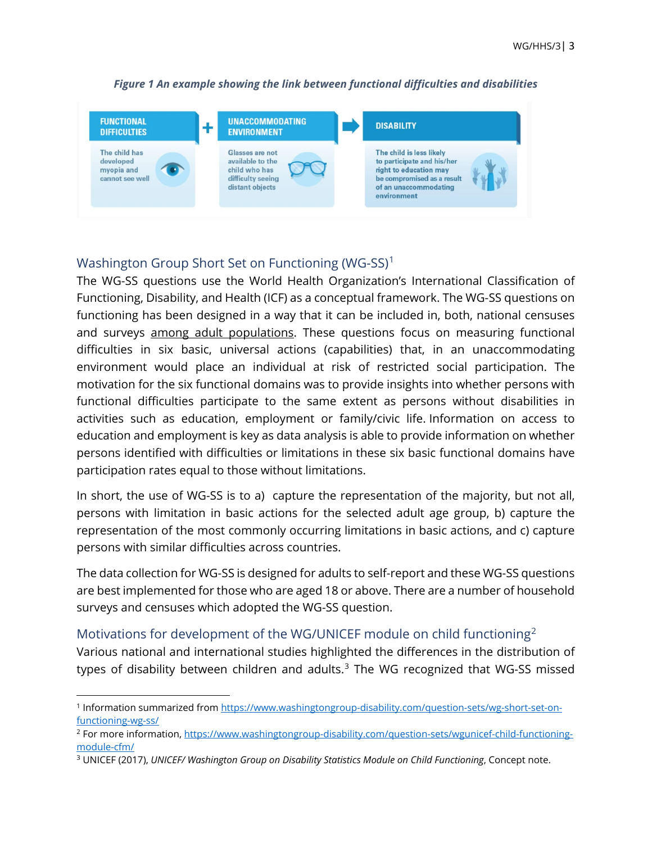

#### *Figure 1 An example showing the link between functional difficulties and disabilities*

# Washington Group Short Set on Functioning (WG-SS)<sup>[1](#page-2-0)</sup>

The WG-SS questions use the World Health Organization's International Classification of Functioning, Disability, and Health (ICF) as a conceptual framework. The WG-SS questions on functioning has been designed in a way that it can be included in, both, national censuses and surveys among adult populations. These questions focus on measuring functional difficulties in six basic, universal actions (capabilities) that, in an unaccommodating environment would place an individual at risk of restricted social participation. The motivation for the six functional domains was to provide insights into whether persons with functional difficulties participate to the same extent as persons without disabilities in activities such as education, employment or family/civic life. Information on access to education and employment is key as data analysis is able to provide information on whether persons identified with difficulties or limitations in these six basic functional domains have participation rates equal to those without limitations.

In short, the use of WG-SS is to a) capture the representation of the majority, but not all, persons with limitation in basic actions for the selected adult age group, b) capture the representation of the most commonly occurring limitations in basic actions, and c) capture persons with similar difficulties across countries.

The data collection for WG-SS is designed for adults to self-report and these WG-SS questions are best implemented for those who are aged 18 or above. There are a number of household surveys and censuses which adopted the WG-SS question.

### Motivations for development of the WG/UNICEF module on child functioning<sup>[2](#page-2-1)</sup>

Various national and international studies highlighted the differences in the distribution of types of disability between children and adults.<sup>[3](#page-2-2)</sup> The WG recognized that WG-SS missed

<span id="page-2-0"></span><sup>1</sup> Information summarized fro[m https://www.washingtongroup-disability.com/question-sets/wg-short-set-on](https://www.washingtongroup-disability.com/question-sets/wg-short-set-on-functioning-wg-ss/)[functioning-wg-ss/](https://www.washingtongroup-disability.com/question-sets/wg-short-set-on-functioning-wg-ss/)

<span id="page-2-1"></span><sup>2</sup> For more information, [https://www.washingtongroup-disability.com/question-sets/wgunicef-child-functioning](https://www.washingtongroup-disability.com/question-sets/wgunicef-child-functioning-module-cfm/)[module-cfm/](https://www.washingtongroup-disability.com/question-sets/wgunicef-child-functioning-module-cfm/)

<span id="page-2-2"></span><sup>3</sup> UNICEF (2017), *UNICEF/ Washington Group on Disability Statistics Module on Child Functioning*, Concept note.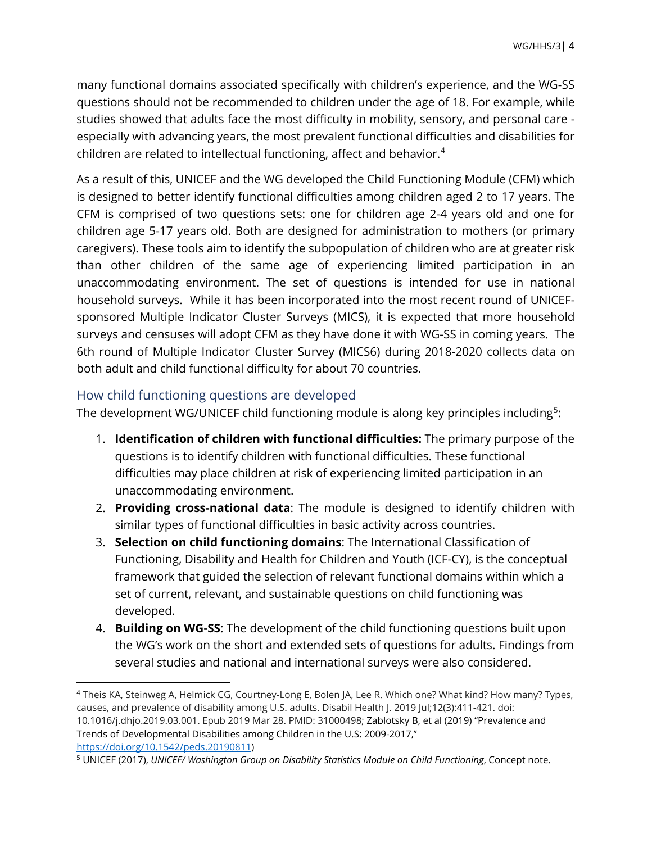many functional domains associated specifically with children's experience, and the WG-SS questions should not be recommended to children under the age of 18. For example, while studies showed that adults face the most difficulty in mobility, sensory, and personal care especially with advancing years, the most prevalent functional difficulties and disabilities for children are related to intellectual functioning, affect and behavior. [4](#page-3-0)

As a result of this, UNICEF and the WG developed the Child Functioning Module (CFM) which is designed to better identify functional difficulties among children aged 2 to 17 years. The CFM is comprised of two questions sets: one for children age 2-4 years old and one for children age 5-17 years old. Both are designed for administration to mothers (or primary caregivers). These tools aim to identify the subpopulation of children who are at greater risk than other children of the same age of experiencing limited participation in an unaccommodating environment. The set of questions is intended for use in national household surveys. While it has been incorporated into the most recent round of UNICEFsponsored Multiple Indicator Cluster Surveys (MICS), it is expected that more household surveys and censuses will adopt CFM as they have done it with WG-SS in coming years. The 6th round of Multiple Indicator Cluster Survey (MICS6) during 2018-2020 collects data on both adult and child functional difficulty for about 70 countries.

### How child functioning questions are developed

The development WG/UNICEF child functioning module is along key principles including $5$ :

- 1. **Identification of children with functional difficulties:** The primary purpose of the questions is to identify children with functional difficulties. These functional difficulties may place children at risk of experiencing limited participation in an unaccommodating environment.
- 2. **Providing cross-national data**: The module is designed to identify children with similar types of functional difficulties in basic activity across countries.
- 3. **Selection on child functioning domains**: The International Classification of Functioning, Disability and Health for Children and Youth (ICF-CY), is the conceptual framework that guided the selection of relevant functional domains within which a set of current, relevant, and sustainable questions on child functioning was developed.
- 4. **Building on WG-SS**: The development of the child functioning questions built upon the WG's work on the short and extended sets of questions for adults. Findings from several studies and national and international surveys were also considered.

<span id="page-3-0"></span><sup>4</sup> Theis KA, Steinweg A, Helmick CG, Courtney-Long E, Bolen JA, Lee R. Which one? What kind? How many? Types, causes, and prevalence of disability among U.S. adults. Disabil Health J. 2019 Jul;12(3):411-421. doi: 10.1016/j.dhjo.2019.03.001. Epub 2019 Mar 28. PMID: 31000498; Zablotsky B, et al (2019) "Prevalence and Trends of Developmental Disabilities among Children in the U.S: 2009-2017," [https://doi.org/10.1542/peds.20190811\)](https://doi.org/10.1542/peds.20190811)

<span id="page-3-1"></span><sup>5</sup> UNICEF (2017), *UNICEF/ Washington Group on Disability Statistics Module on Child Functioning*, Concept note.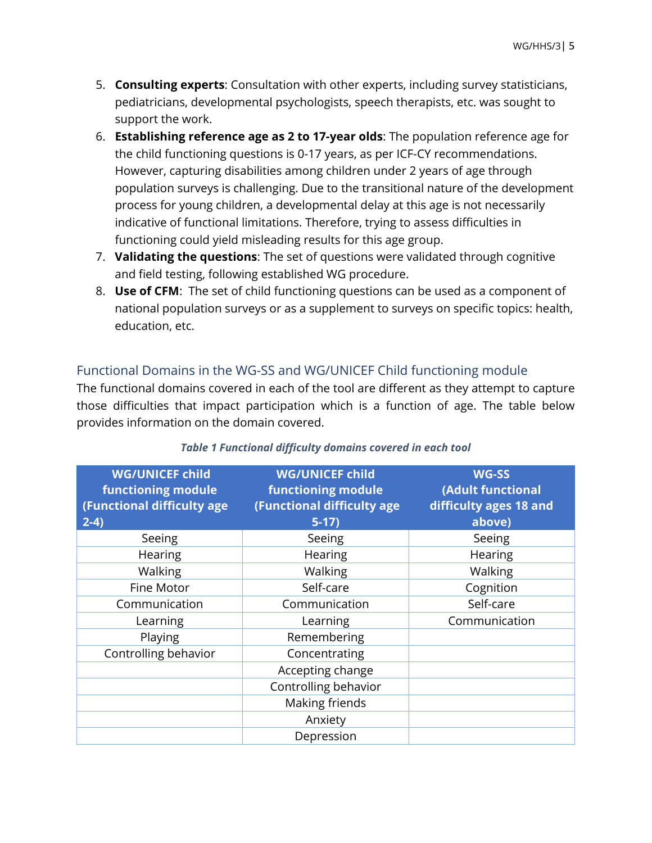- 5. **Consulting experts**: Consultation with other experts, including survey statisticians, pediatricians, developmental psychologists, speech therapists, etc. was sought to support the work.
- 6. **Establishing reference age as 2 to 17-year olds**: The population reference age for the child functioning questions is 0-17 years, as per ICF-CY recommendations. However, capturing disabilities among children under 2 years of age through population surveys is challenging. Due to the transitional nature of the development process for young children, a developmental delay at this age is not necessarily indicative of functional limitations. Therefore, trying to assess difficulties in functioning could yield misleading results for this age group.
- 7. **Validating the questions**: The set of questions were validated through cognitive and field testing, following established WG procedure.
- 8. **Use of CFM**: The set of child functioning questions can be used as a component of national population surveys or as a supplement to surveys on specific topics: health, education, etc.

# Functional Domains in the WG-SS and WG/UNICEF Child functioning module

The functional domains covered in each of the tool are different as they attempt to capture those difficulties that impact participation which is a function of age. The table below provides information on the domain covered.

| <b>WG/UNICEF child</b><br><b>functioning module</b><br>(Functional difficulty age<br>$2-4)$ | <b>WG/UNICEF child</b><br><b>functioning module</b><br>(Functional difficulty age<br>$5-17)$ | <b>WG-SS</b><br>(Adult functional<br>difficulty ages 18 and<br>above) |
|---------------------------------------------------------------------------------------------|----------------------------------------------------------------------------------------------|-----------------------------------------------------------------------|
| Seeing                                                                                      | Seeing                                                                                       | Seeing                                                                |
| Hearing                                                                                     | Hearing                                                                                      | Hearing                                                               |
| Walking                                                                                     | Walking                                                                                      | Walking                                                               |
| Fine Motor                                                                                  | Self-care                                                                                    | Cognition                                                             |
| Communication                                                                               | Communication                                                                                | Self-care                                                             |
| Learning                                                                                    | Learning                                                                                     | Communication                                                         |
| Playing                                                                                     | Remembering                                                                                  |                                                                       |
| Controlling behavior                                                                        | Concentrating                                                                                |                                                                       |
|                                                                                             | Accepting change                                                                             |                                                                       |
|                                                                                             | Controlling behavior                                                                         |                                                                       |
|                                                                                             | Making friends                                                                               |                                                                       |
|                                                                                             | Anxiety                                                                                      |                                                                       |
|                                                                                             | Depression                                                                                   |                                                                       |

### *Table 1 Functional difficulty domains covered in each tool*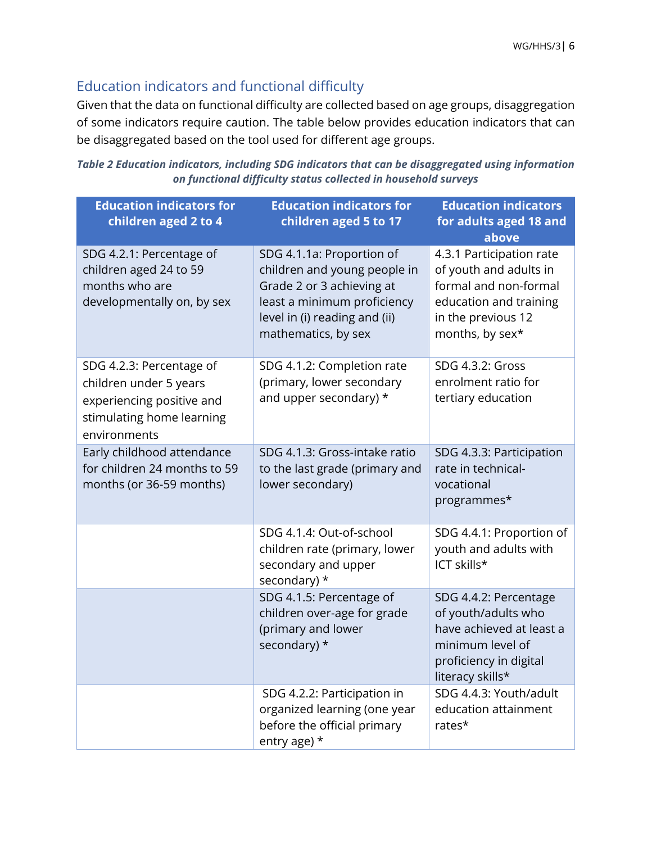# Education indicators and functional difficulty

Given that the data on functional difficulty are collected based on age groups, disaggregation of some indicators require caution. The table below provides education indicators that can be disaggregated based on the tool used for different age groups.

*Table 2 Education indicators, including SDG indicators that can be disaggregated using information on functional difficulty status collected in household surveys* 

| <b>Education indicators for</b><br>children aged 2 to 4                                                                      | <b>Education indicators for</b><br>children aged 5 to 17                                                                                                                      | <b>Education indicators</b><br>for adults aged 18 and<br>above                                                                                 |
|------------------------------------------------------------------------------------------------------------------------------|-------------------------------------------------------------------------------------------------------------------------------------------------------------------------------|------------------------------------------------------------------------------------------------------------------------------------------------|
| SDG 4.2.1: Percentage of<br>children aged 24 to 59<br>months who are<br>developmentally on, by sex                           | SDG 4.1.1a: Proportion of<br>children and young people in<br>Grade 2 or 3 achieving at<br>least a minimum proficiency<br>level in (i) reading and (ii)<br>mathematics, by sex | 4.3.1 Participation rate<br>of youth and adults in<br>formal and non-formal<br>education and training<br>in the previous 12<br>months, by sex* |
| SDG 4.2.3: Percentage of<br>children under 5 years<br>experiencing positive and<br>stimulating home learning<br>environments | SDG 4.1.2: Completion rate<br>(primary, lower secondary<br>and upper secondary) *                                                                                             | SDG 4.3.2: Gross<br>enrolment ratio for<br>tertiary education                                                                                  |
| Early childhood attendance<br>for children 24 months to 59<br>months (or 36-59 months)                                       | SDG 4.1.3: Gross-intake ratio<br>to the last grade (primary and<br>lower secondary)                                                                                           | SDG 4.3.3: Participation<br>rate in technical-<br>vocational<br>programmes*                                                                    |
|                                                                                                                              | SDG 4.1.4: Out-of-school<br>children rate (primary, lower<br>secondary and upper<br>secondary) *                                                                              | SDG 4.4.1: Proportion of<br>youth and adults with<br>ICT skills*                                                                               |
|                                                                                                                              | SDG 4.1.5: Percentage of<br>children over-age for grade<br>(primary and lower<br>secondary) *                                                                                 | SDG 4.4.2: Percentage<br>of youth/adults who<br>have achieved at least a<br>minimum level of<br>proficiency in digital<br>literacy skills*     |
|                                                                                                                              | SDG 4.2.2: Participation in<br>organized learning (one year<br>before the official primary<br>entry age) *                                                                    | SDG 4.4.3: Youth/adult<br>education attainment<br>rates*                                                                                       |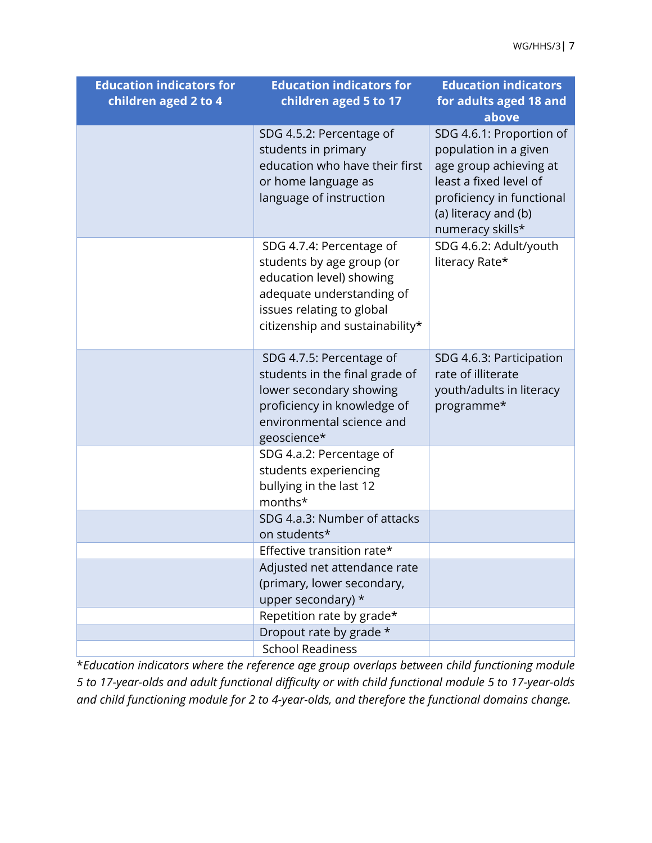| <b>Education indicators for</b> | <b>Education indicators for</b>                       | <b>Education indicators</b> |
|---------------------------------|-------------------------------------------------------|-----------------------------|
| children aged 2 to 4            | children aged 5 to 17                                 | for adults aged 18 and      |
|                                 |                                                       | above                       |
|                                 | SDG 4.5.2: Percentage of                              | SDG 4.6.1: Proportion of    |
|                                 | students in primary                                   | population in a given       |
|                                 | education who have their first                        | age group achieving at      |
|                                 | or home language as                                   | least a fixed level of      |
|                                 | language of instruction                               | proficiency in functional   |
|                                 |                                                       | (a) literacy and (b)        |
|                                 |                                                       | numeracy skills*            |
|                                 | SDG 4.7.4: Percentage of                              | SDG 4.6.2: Adult/youth      |
|                                 | students by age group (or                             | literacy Rate*              |
|                                 | education level) showing<br>adequate understanding of |                             |
|                                 | issues relating to global                             |                             |
|                                 | citizenship and sustainability*                       |                             |
|                                 |                                                       |                             |
|                                 | SDG 4.7.5: Percentage of                              | SDG 4.6.3: Participation    |
|                                 | students in the final grade of                        | rate of illiterate          |
|                                 | lower secondary showing                               | youth/adults in literacy    |
|                                 | proficiency in knowledge of                           | programme*                  |
|                                 | environmental science and                             |                             |
|                                 | geoscience*                                           |                             |
|                                 | SDG 4.a.2: Percentage of                              |                             |
|                                 | students experiencing                                 |                             |
|                                 | bullying in the last 12<br>months*                    |                             |
|                                 | SDG 4.a.3: Number of attacks                          |                             |
|                                 | on students*                                          |                             |
|                                 | Effective transition rate*                            |                             |
|                                 | Adjusted net attendance rate                          |                             |
|                                 | (primary, lower secondary,                            |                             |
|                                 | upper secondary) *                                    |                             |
|                                 | Repetition rate by grade*                             |                             |
|                                 | Dropout rate by grade *                               |                             |
|                                 | <b>School Readiness</b>                               |                             |

\**Education indicators where the reference age group overlaps between child functioning module 5 to 17-year-olds and adult functional difficulty or with child functional module 5 to 17-year-olds and child functioning module for 2 to 4-year-olds, and therefore the functional domains change.*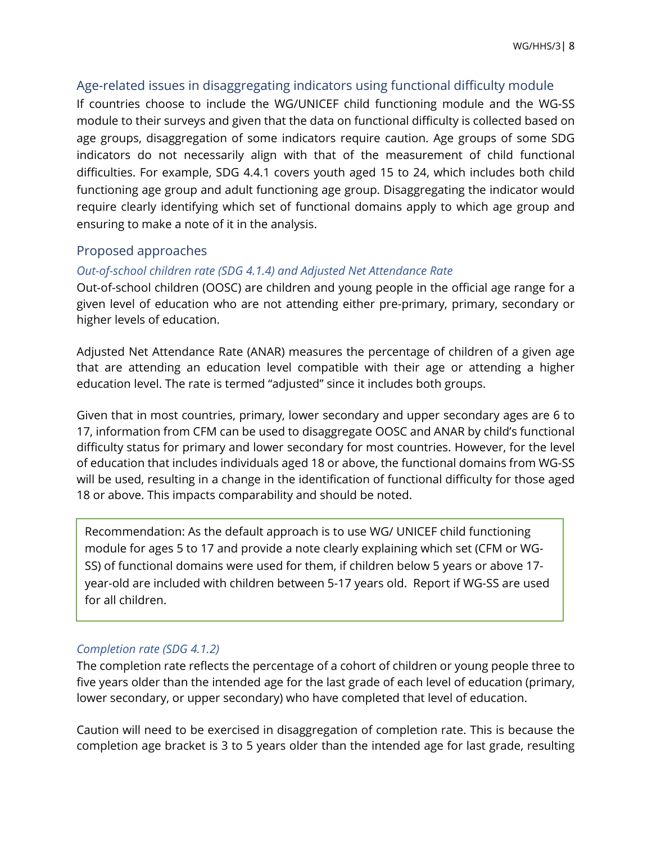### Age-related issues in disaggregating indicators using functional difficulty module

If countries choose to include the WG/UNICEF child functioning module and the WG-SS module to their surveys and given that the data on functional difficulty is collected based on age groups, disaggregation of some indicators require caution. Age groups of some SDG indicators do not necessarily align with that of the measurement of child functional difficulties. For example, SDG 4.4.1 covers youth aged 15 to 24, which includes both child functioning age group and adult functioning age group. Disaggregating the indicator would require clearly identifying which set of functional domains apply to which age group and ensuring to make a note of it in the analysis.

### Proposed approaches

### *Out-of-school children rate (SDG 4.1.4) and Adjusted Net Attendance Rate*

Out-of-school children (OOSC) are children and young people in the official age range for a given level of education who are not attending either pre-primary, primary, secondary or higher levels of education.

Adjusted Net Attendance Rate (ANAR) measures the percentage of children of a given age that are attending an education level compatible with their age or attending a higher education level. The rate is termed "adjusted" since it includes both groups.

Given that in most countries, primary, lower secondary and upper secondary ages are 6 to 17, information from CFM can be used to disaggregate OOSC and ANAR by child's functional difficulty status for primary and lower secondary for most countries. However, for the level of education that includes individuals aged 18 or above, the functional domains from WG-SS will be used, resulting in a change in the identification of functional difficulty for those aged 18 or above. This impacts comparability and should be noted.

Recommendation: As the default approach is to use WG/ UNICEF child functioning module for ages 5 to 17 and provide a note clearly explaining which set (CFM or WG-SS) of functional domains were used for them, if children below 5 years or above 17 year-old are included with children between 5-17 years old. Report if WG-SS are used for all children.

### *Completion rate (SDG 4.1.2)*

The completion rate reflects the percentage of a cohort of children or young people three to five years older than the intended age for the last grade of each level of education (primary, lower secondary, or upper secondary) who have completed that level of education.

Caution will need to be exercised in disaggregation of completion rate. This is because the completion age bracket is 3 to 5 years older than the intended age for last grade, resulting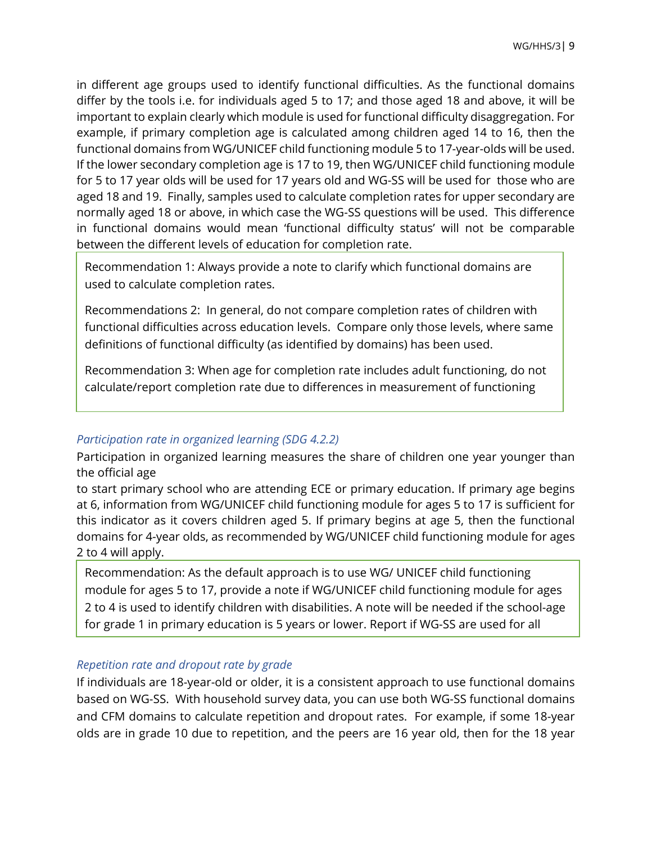in different age groups used to identify functional difficulties. As the functional domains differ by the tools i.e. for individuals aged 5 to 17; and those aged 18 and above, it will be important to explain clearly which module is used for functional difficulty disaggregation. For example, if primary completion age is calculated among children aged 14 to 16, then the functional domains from WG/UNICEF child functioning module 5 to 17-year-olds will be used. If the lower secondary completion age is 17 to 19, then WG/UNICEF child functioning module for 5 to 17 year olds will be used for 17 years old and WG-SS will be used for those who are aged 18 and 19. Finally, samples used to calculate completion rates for upper secondary are normally aged 18 or above, in which case the WG-SS questions will be used. This difference in functional domains would mean 'functional difficulty status' will not be comparable between the different levels of education for completion rate.

Recommendation 1: Always provide a note to clarify which functional domains are used to calculate completion rates.

Recommendations 2: In general, do not compare completion rates of children with functional difficulties across education levels. Compare only those levels, where same definitions of functional difficulty (as identified by domains) has been used.

Recommendation 3: When age for completion rate includes adult functioning, do not calculate/report completion rate due to differences in measurement of functioning

### *Participation rate in organized learning (SDG 4.2.2)*

Participation in organized learning measures the share of children one year younger than the official age

to start primary school who are attending ECE or primary education. If primary age begins at 6, information from WG/UNICEF child functioning module for ages 5 to 17 is sufficient for this indicator as it covers children aged 5. If primary begins at age 5, then the functional domains for 4-year olds, as recommended by WG/UNICEF child functioning module for ages 2 to 4 will apply.

Recommendation: As the default approach is to use WG/ UNICEF child functioning module for ages 5 to 17, provide a note if WG/UNICEF child functioning module for ages 2 to 4 is used to identify children with disabilities. A note will be needed if the school-age for grade 1 in primary education is 5 years or lower. Report if WG-SS are used for all

### *Repetition rate and dropout rate by grade*

If individuals are 18-year-old or older, it is a consistent approach to use functional domains based on WG-SS. With household survey data, you can use both WG-SS functional domains and CFM domains to calculate repetition and dropout rates. For example, if some 18-year olds are in grade 10 due to repetition, and the peers are 16 year old, then for the 18 year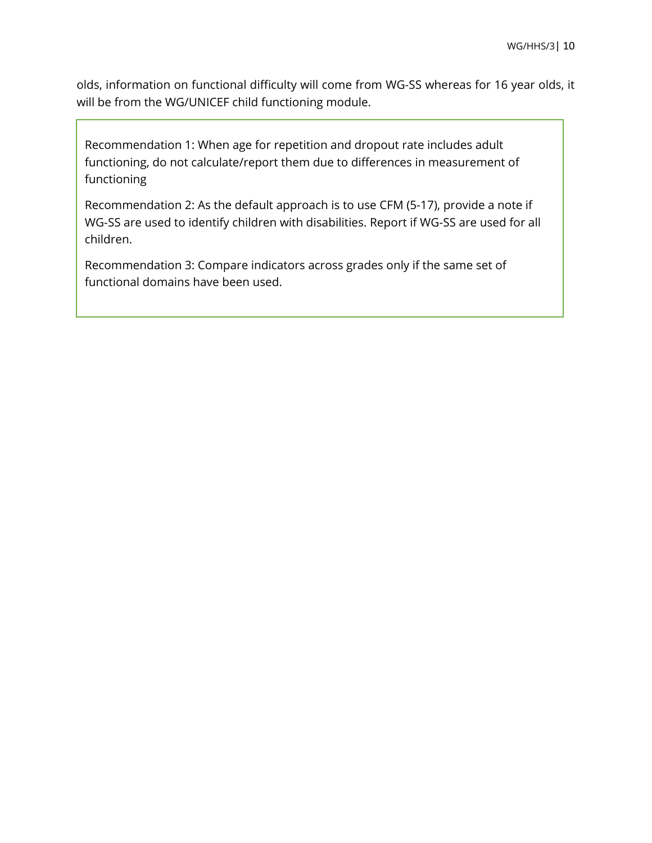olds, information on functional difficulty will come from WG-SS whereas for 16 year olds, it will be from the WG/UNICEF child functioning module.

Recommendation 1: When age for repetition and dropout rate includes adult functioning, do not calculate/report them due to differences in measurement of functioning

Recommendation 2: As the default approach is to use CFM (5-17), provide a note if WG-SS are used to identify children with disabilities. Report if WG-SS are used for all children.

Recommendation 3: Compare indicators across grades only if the same set of functional domains have been used.